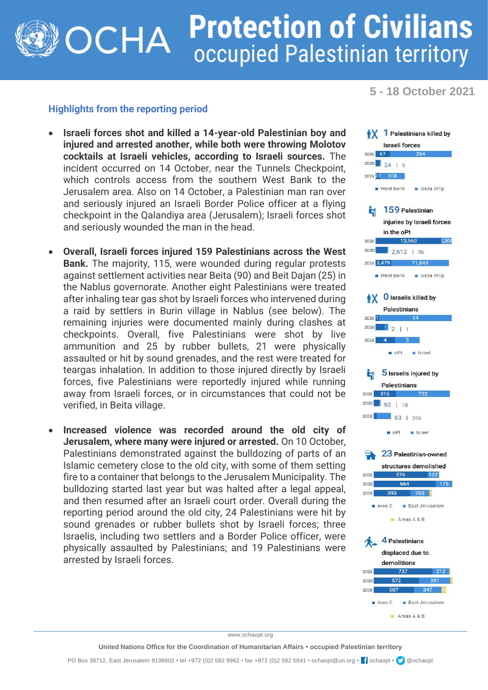## **Protection of Civilians** OCHA occupied Palestinian territory

**5 - 18 October 2021**

## **Highlights from the reporting period**

- **Israeli forces shot and killed a 14-year-old Palestinian boy and injured and arrested another, while both were throwing Molotov cocktails at Israeli vehicles, according to Israeli sources.** The incident occurred on 14 October, near the Tunnels Checkpoint, which controls access from the southern West Bank to the Jerusalem area. Also on 14 October, a Palestinian man ran over and seriously injured an Israeli Border Police officer at a flying checkpoint in the Qalandiya area (Jerusalem); Israeli forces shot and seriously wounded the man in the head.
- **Overall, Israeli forces injured 159 Palestinians across the West Bank.** The majority, 115, were wounded during regular protests against settlement activities near Beita (90) and Beit Dajan (25) in the Nablus governorate. Another eight Palestinians were treated after inhaling tear gas shot by Israeli forces who intervened during a raid by settlers in Burin village in Nablus (see below). The remaining injuries were documented mainly during clashes at checkpoints. Overall, five Palestinians were shot by live ammunition and 25 by rubber bullets, 21 were physically assaulted or hit by sound grenades, and the rest were treated for teargas inhalation. In addition to those injured directly by Israeli forces, five Palestinians were reportedly injured while running away from Israeli forces, or in circumstances that could not be verified, in Beita village.
- **Increased violence was recorded around the old city of Jerusalem, where many were injured or arrested.** On 10 October, Palestinians demonstrated against the bulldozing of parts of an Islamic cemetery close to the old city, with some of them setting fire to a container that belongs to the Jerusalem Municipality. The bulldozing started last year but was halted after a legal appeal, and then resumed after an Israeli court order. Overall during the reporting period around the old city, 24 Palestinians were hit by sound grenades or rubber bullets shot by Israeli forces; three Israelis, including two settlers and a Border Police officer, were physically assaulted by Palestinians; and 19 Palestinians were arrested by Israeli forces.



www.ochaopt.org

**United Nations Office for the Coordination of Humanitarian Affairs • occupied Palestinian territory**

PO Box 38712, East Jerusalem 9138602 • tel +972 (0)2 582 9962 • fax +972 (0)2 582 5841 • ochaopt@un.org • <sup>1</sup> ochaopt • @ @ochaopt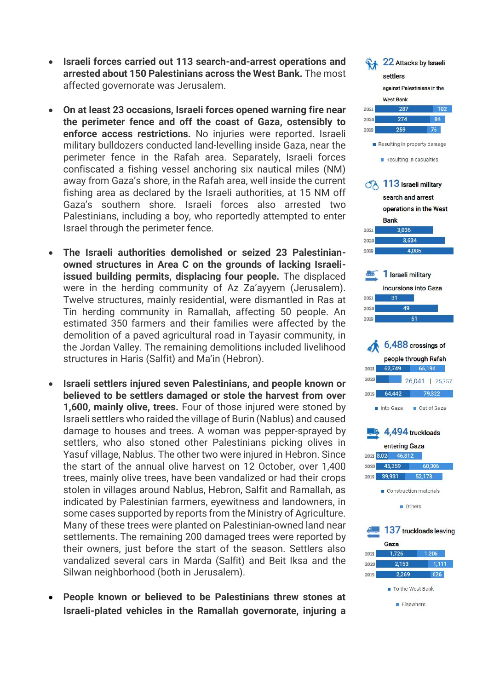- **•** Israeli forces carried out 113 search-and-arrest operations and **arrested about 150 Palestinians across the West Bank.** The most affected governorate was Jerusalem.
- **On at least 23 occasions, Israeli forces opened warning fire near the perimeter fence and off the coast of Gaza, ostensibly to enforce access restrictions.** No injuries were reported. Israeli military bulldozers conducted land -levelling inside Gaza, near the perimeter fence in the Rafah area. Separately, Israeli forces confiscated a fishing vessel anchoring six nautical miles (NM) away from Gaza's shore, in the Rafah area, well inside the current fishing area as declared by the Israeli authorities, at 15 NM off Gaza's southern shore. Israeli forces also arrested two Palestinians, including a boy, who reportedly attempted to enter Israel through the perimeter fence.
- **The Israeli authorities demolished or seized 23 Palestinian owned structures in Area C on the grounds of lacking Israeli issued building permits, displacing four people.** The displaced were in the herding community of Az Za'ayyem (Jerusalem). Twelve structures, mainly residential, were dismantled in Ras at Tin herding community in Ramallah, affecting 50 people. An estimated 350 farmers and their families were affected by the demolition of a paved agricultural road in Tayasir community, in the Jordan Valley. The remaining demolitions included livelihood structures in Haris (Salfit) and Ma'in (Hebron).
- **Israeli settlers injured seven Palestinians, and people known or believed to be settlers damaged or stole the harvest from over 1,600, mainly olive, trees.** Four of those injured were stoned by Israeli settlers who raided the village of Burin (Nablus) and caused damage to houses and trees. A woman was pepper -sprayed by settlers, who also stoned other Palestinians picking olives in Yasuf village, Nablus. The other two were injured in Hebron. Since the start of the annual olive harvest on 12 October, over 1,400 trees, mainly olive trees, have been vandalized or had their crops stolen in villages around Nablus, Hebron, Salfit and Ramallah, as indicated by Palestinian farmers, eyewitness and landowners, in some cases supported by reports from the Ministry of Agriculture. Many of these trees were planted on Palestinian -owned land near settlements. The remaining 200 damaged trees were reported by their owners, just before the start of the season. Settlers also vandalized several cars in Marda (Salfit) and Beit Iksa and the Silwan neighborhood (both in Jerusalem).
- **People known or believed to be Palestinians threw stones at Israeli -plated vehicles in the Ramallah governorate, injuring a**